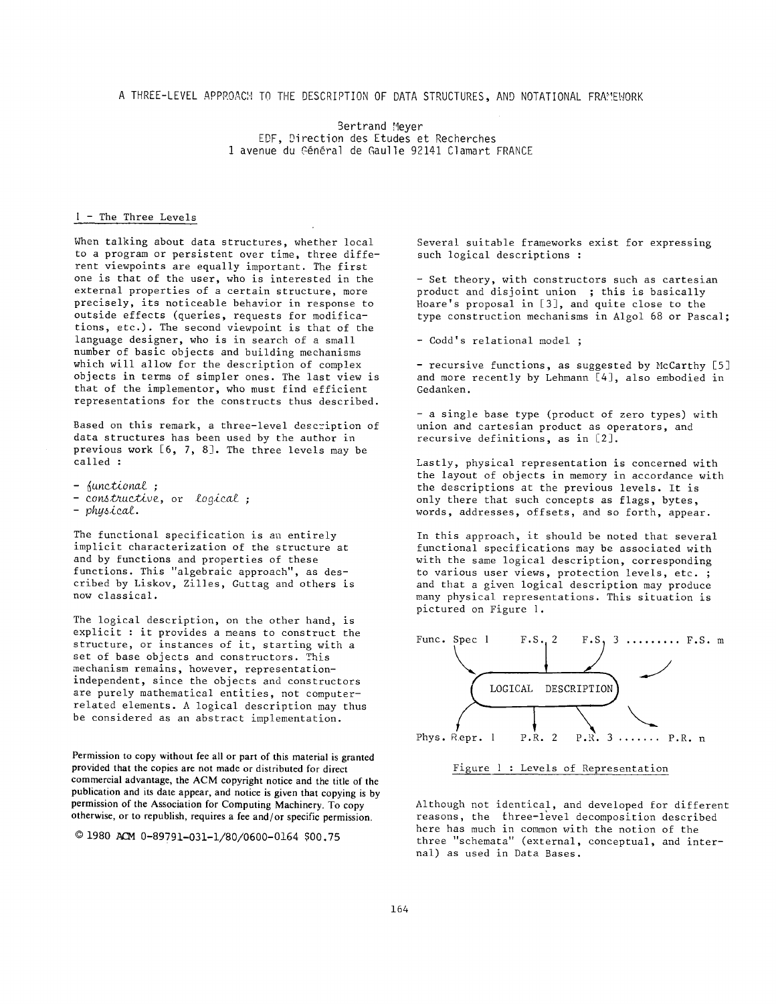A THREE-LEVEL APPROACH TO THE DESCRIPTION OF DATA STRUCTURES, AND NOTATIONAL FRR!EWORK

Bertrand Meyer EDF, Direction des Etudes et Recherches 1 avenue du Général de Gaulle 92141 Clamart FRANCE

## ! - The Three Levels

When talking about data structures, whether local to a program or persistent over time, three different viewpoints are equally important. The first one is that of the user, who is interested in the external properties of a certain structure, more precisely, its noticeable behavior in response to outside effects (queries, requests for modifications, etc.). The second viewpoint is that of the language designer, who is in search of a small number of basic objects and building mechanisms which will allow for the description of complex objects in terms of simpler ones. The last view is that of the implementor, who must find efficient representations for the constructs thus described.

Based on this remark, a three-level description of data structures has been used by the author in previous work [6, 7, 8]. The three levels may be called :

*- functional ; - co~truU6ive,* or *logical ; - physical.* 

The functional specification is an entirely implicit characterization of the structure at and by functions and properties of these functions. This "algebraic approach", as described by Liskov, Zilles, Guttag and others is now classical.

The logical description, on the other hand, is explicit : it provides a means to construct the structure, or instances of it, starting with a set of base objects and constructors. This mechanism remains, however, representationindependent, since the objects and constructors are purely mathematical entities, not computerrelated elements. A logical description may thus be considered as an abstract implementation.

Permission to copy without fee **all** or part of this material is granted provided that the copies are not made or distributed for direct commercial advantage, the ACM copyright notice and the title of the publication and its date appear, and notice is given that copying is by permission of the Association for Computing Machinery. To copy otherwise, or to republish, requires a fee and/or specific permission.

 $@1980$  ACM 0-89791-031-1/80/0600-0164 \$00.75

Several suitable frameworks exist for expressing such logical descriptions :

- Set theory, with constructors such as cartesian product and disjoint union ; this is basically Hoare's proposal in [3], and quite close to the type construction mechanisms in Algol 68 or Pascal;

- Codd's relational model ;

- recursive functions, as suggested by McCarthy [5] and more recently by Lehmann [4], also embodied in Gedanken.

**-** a single base type (product of zero types) with union and cartesian product as operators, and recursive definitions, as in [2].

Lastly, physical representation is concerned with the layout of objects in memory in accordance with the descriptions at the previous levels. It is only there that such concepts as flags, bytes, words, addresses, offsets, and so forth, appear.

In this approach, it should be noted that several functional specifications may be associated with with the same logical description, corresponding to various user views, protection levels, etc. ; and that a given logical description may produce many physical representations. This situation is pictured on Figure I.





Although not identical, and developed for different reasons, the three-level decomposition described here has much in common with the notion of the three "schemata" (external, conceptual, and internal) as used in Data Bases.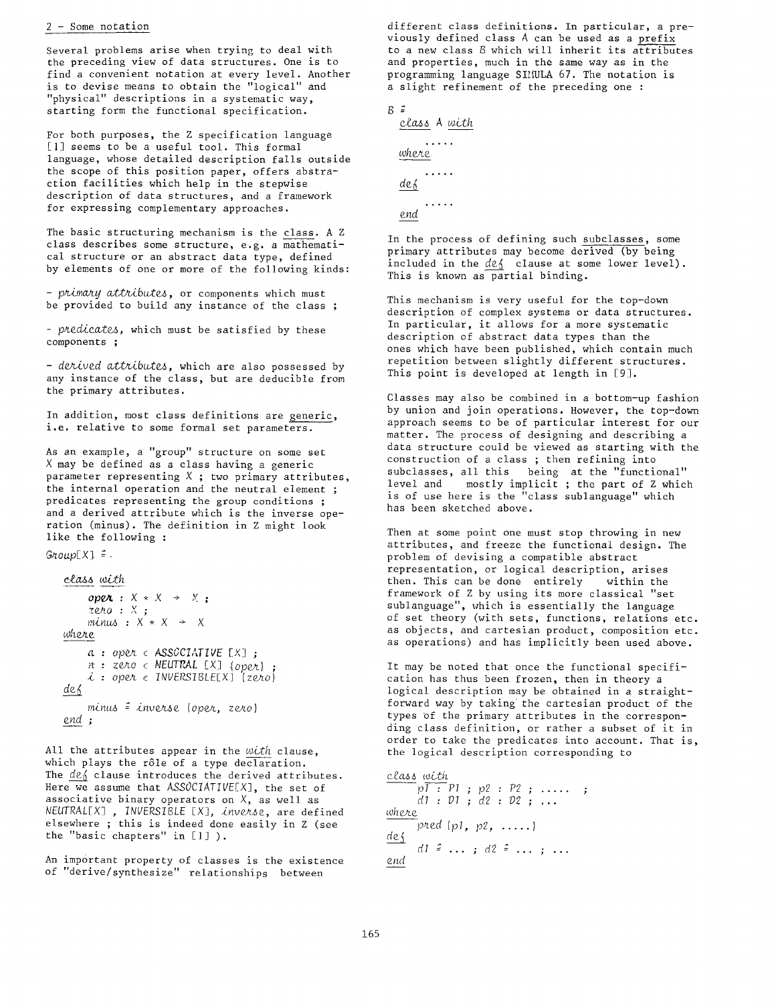## 2 - Some notation

Several problems arise when trying to deal with the preceding view of data structures. One is to find a convenient notation at every level. Another is to devise means to obtain the "logical" and "physical" descriptions in a systematic way, starting form the functional specification.

For both purposes, the Z specification language [1] seems to be a useful tool. This formal language, whose detailed description falls outside the scope of this position paper, offers abstraction facilities which help in the stepwise description of data structures, and a framework for expressing complementary approaches.

The basic structuring mechanism is the class. A Z class describes some structure, e.g. a mathematical structure or an abstract data type, defined by elements of one or more of the following kinds:

*- primary attributes,* or components which must be provided to build any instance of the class ;

*predicates,* which must be satisfied by these components ;

- derived attributes, which are also possessed by any instance of the class, but are deducible from the primary attributes.

In addition, most class definitions are generic, i.e. relative to some formal set parameters.

As an example, a "group" structure on some set X may be defined as a class having a generic parameter representing  $X$ ; two primary attributes, the internal operation and the neutral element ; predicates representing the group conditions ; and a derived attribute which is the inverse operation (minus). The definition in Z might look like the following :

 $Group[X] =$ .

```
c£~s with 
    open: X \times X \rightarrow X;
    Zero : X ; 
    minus : X * X ÷ X 
where 
    a : oper c ASSOCIATIVE IX] ; 
    n : zero c NEUTRAL IX] (oper) ; 
    i :op¢¢ c INVERSIBLEEX] (zero) 
def 
    mim~ ~ inverse (oper, zero) 
end ;
```
All the attributes appear in the with clause, which plays the rôle of a type declaration. The  $de\$  clause introduces the derived attributes. Here we assume that *ASSOCIATIVE[X],* the set of associative binary operators on  $X$ , as well as *NEUTRAL[X] , INVERSIBLE* IX], *inverse,* are defined elsewhere ; this is indeed done easily in Z (see the "basic chapters" in [|] ).

An important property of classes is the existence of "derive/synthesize" relationships between

different class definitions. In particular, a previously defined class A can be used as a prefix to a new class B which will inherit its attributes and properties, much in the same way as in the programming language SIMULA 67. The notation is a slight refinement of the preceding one :

```
B \congcla~s A w£th 
         \cdotswhere 
         ..... 
  def 
         . . . . .
  end
```
In the process of defining such subclasses, some primary attributes may become derived (by being included in the  $de\$  clause at some lower level). This is known as partial binding.

This mechanism is very useful for the top-down description of complex systems or data structures. In particular, it allows for a more systematic description of abstract data types than the ones which have been published, which contain much repetition between slightly different structures. This point is developed at length in [9].

Classes may also be combined in a bottom-up fashion by union and join operations. However, the top-down approach seems to be of particular interest for our matter. The process of designing and describing a data structure could be viewed as starting with the construction of a class ; then refining into subclasses, all this being at the "functional" level and mostly implicit ; the part of Z which is of use here is the "class sublanguage" which has been sketched above.

Then at some point one must stop throwing in new attributes, and freeze the functional design. The problem of devising a compatible abstract representation, or logical description, arises then. This can be done entirely within the framework of Z by using its more classical "set sublanguage", which is essentially the language of set theory (with sets, functions, relations etc. as objects, and cartesian product, composition etc. as operations) and has implicitly been used above.

It may be noted that once the functional specification has thus been frozen, then in theory a logical description may be obtained in a straightforward way by taking the cartesian product of the types Of the primary attributes in the corresponding class definition, or rather a subset of it in order to take the predicates into account. That is, the logical description corresponding to

```
c&~s with 
      pl : PI ; p2 : P2 ; ..... 
      dl : DI ; d2 : D2 ; ... 
wh~e 
      pred (pl, p2, ..... } 
des
      dl \hat{=} \ldots ; d2 \hat{=} \ldots ; ...
end
```